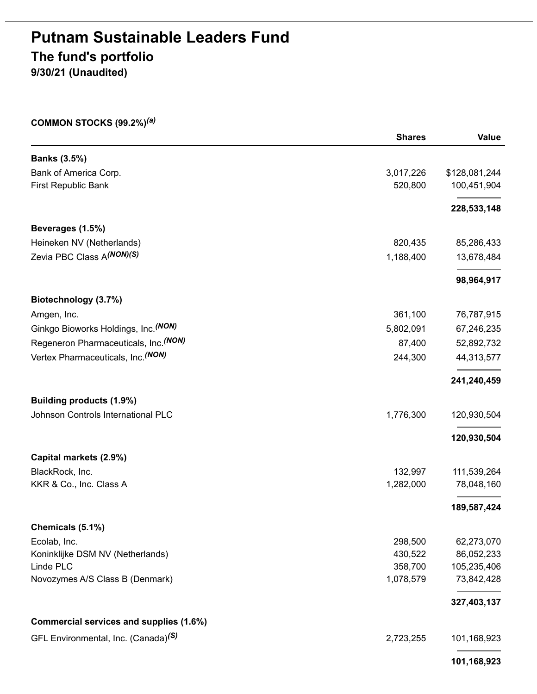# **Putnam Sustainable Leaders Fund The fund's portfolio 9/30/21 (Unaudited)**

#### **COMMON STOCKS (99.2%)** *(a)*

|                                                 | <b>Shares</b> | Value         |
|-------------------------------------------------|---------------|---------------|
| <b>Banks (3.5%)</b>                             |               |               |
| Bank of America Corp.                           | 3,017,226     | \$128,081,244 |
| First Republic Bank                             | 520,800       | 100,451,904   |
|                                                 |               | 228,533,148   |
| Beverages (1.5%)                                |               |               |
| Heineken NV (Netherlands)                       | 820,435       | 85,286,433    |
| Zevia PBC Class A(NON)(S)                       | 1,188,400     | 13,678,484    |
|                                                 |               | 98,964,917    |
| Biotechnology (3.7%)                            |               |               |
| Amgen, Inc.                                     | 361,100       | 76,787,915    |
| Ginkgo Bioworks Holdings, Inc. (NON)            | 5,802,091     | 67,246,235    |
| Regeneron Pharmaceuticals, Inc. (NON)           | 87,400        | 52,892,732    |
| Vertex Pharmaceuticals, Inc. <sup>(NON)</sup>   | 244,300       | 44,313,577    |
|                                                 |               | 241,240,459   |
| Building products (1.9%)                        |               |               |
| Johnson Controls International PLC              | 1,776,300     | 120,930,504   |
|                                                 |               | 120,930,504   |
| Capital markets (2.9%)                          |               |               |
| BlackRock, Inc.                                 | 132,997       | 111,539,264   |
| KKR & Co., Inc. Class A                         | 1,282,000     | 78,048,160    |
|                                                 |               | 189,587,424   |
| Chemicals (5.1%)                                |               |               |
| Ecolab, Inc.                                    | 298,500       | 62,273,070    |
| Koninklijke DSM NV (Netherlands)                | 430,522       | 86,052,233    |
| Linde PLC                                       | 358,700       | 105,235,406   |
| Novozymes A/S Class B (Denmark)                 | 1,078,579     | 73,842,428    |
|                                                 |               | 327,403,137   |
| Commercial services and supplies (1.6%)         |               |               |
| GFL Environmental, Inc. (Canada) <sup>(S)</sup> | 2,723,255     | 101,168,923   |
|                                                 |               | 101,168,923   |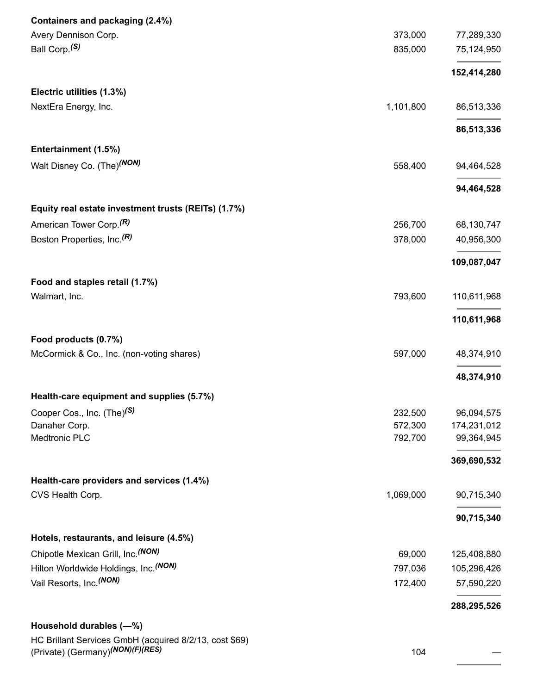| Containers and packaging (2.4%)                        |           |             |
|--------------------------------------------------------|-----------|-------------|
| Avery Dennison Corp.                                   | 373,000   | 77,289,330  |
| Ball Corp. <sup>(S)</sup>                              | 835,000   | 75,124,950  |
|                                                        |           | 152,414,280 |
| Electric utilities (1.3%)                              |           |             |
| NextEra Energy, Inc.                                   | 1,101,800 | 86,513,336  |
|                                                        |           | 86,513,336  |
| Entertainment (1.5%)                                   |           |             |
| Walt Disney Co. (The) <sup>(NON)</sup>                 | 558,400   | 94,464,528  |
|                                                        |           |             |
|                                                        |           | 94,464,528  |
| Equity real estate investment trusts (REITs) (1.7%)    |           |             |
| American Tower Corp. <sup>(R)</sup>                    | 256,700   | 68,130,747  |
| Boston Properties, Inc. <sup>(R)</sup>                 | 378,000   | 40,956,300  |
|                                                        |           | 109,087,047 |
| Food and staples retail (1.7%)                         |           |             |
| Walmart, Inc.                                          | 793,600   | 110,611,968 |
|                                                        |           | 110,611,968 |
| Food products (0.7%)                                   |           |             |
| McCormick & Co., Inc. (non-voting shares)              | 597,000   | 48,374,910  |
|                                                        |           | 48,374,910  |
| Health-care equipment and supplies (5.7%)              |           |             |
| Cooper Cos., Inc. (The) <sup>(S)</sup>                 | 232,500   | 96,094,575  |
| Danaher Corp.                                          | 572,300   | 174,231,012 |
| Medtronic PLC                                          | 792,700   | 99,364,945  |
|                                                        |           | 369,690,532 |
| Health-care providers and services (1.4%)              |           |             |
| CVS Health Corp.                                       | 1,069,000 | 90,715,340  |
|                                                        |           | 90,715,340  |
| Hotels, restaurants, and leisure (4.5%)                |           |             |
| Chipotle Mexican Grill, Inc. (NON)                     | 69,000    | 125,408,880 |
| Hilton Worldwide Holdings, Inc. (NON)                  | 797,036   | 105,296,426 |
| Vail Resorts, Inc. (NON)                               | 172,400   | 57,590,220  |
|                                                        |           | 288,295,526 |
| Household durables (-%)                                |           |             |
| HC Brillant Services GmbH (acquired 8/2/13, cost \$69) |           |             |
| (Private) (Germany) <sup>(NON)</sup> (F)(RES)          | 104       |             |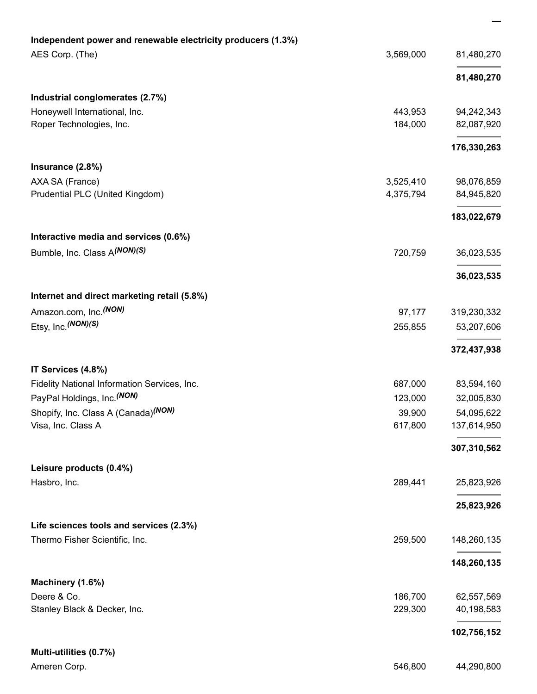| Independent power and renewable electricity producers (1.3%) |           |             |
|--------------------------------------------------------------|-----------|-------------|
| AES Corp. (The)                                              | 3,569,000 | 81,480,270  |
|                                                              |           | 81,480,270  |
| Industrial conglomerates (2.7%)                              |           |             |
| Honeywell International, Inc.                                | 443,953   | 94,242,343  |
| Roper Technologies, Inc.                                     | 184,000   | 82,087,920  |
|                                                              |           | 176,330,263 |
| Insurance (2.8%)                                             |           |             |
| AXA SA (France)                                              | 3,525,410 | 98,076,859  |
| Prudential PLC (United Kingdom)                              | 4,375,794 | 84,945,820  |
|                                                              |           | 183,022,679 |
| Interactive media and services (0.6%)                        |           |             |
| Bumble, Inc. Class A(NON)(S)                                 | 720,759   | 36,023,535  |
|                                                              |           | 36,023,535  |
| Internet and direct marketing retail (5.8%)                  |           |             |
| Amazon.com, Inc. <sup>(NON)</sup>                            | 97,177    | 319,230,332 |
| Etsy, Inc. (NON)(S)                                          | 255,855   | 53,207,606  |
|                                                              |           | 372,437,938 |
| IT Services (4.8%)                                           |           |             |
| Fidelity National Information Services, Inc.                 | 687,000   | 83,594,160  |
| PayPal Holdings, Inc. (NON)                                  | 123,000   | 32,005,830  |
| Shopify, Inc. Class A (Canada) <sup>(NON)</sup>              | 39,900    | 54,095,622  |
| Visa, Inc. Class A                                           | 617,800   | 137,614,950 |
|                                                              |           | 307,310,562 |
| Leisure products (0.4%)                                      |           |             |
| Hasbro, Inc.                                                 | 289,441   | 25,823,926  |
|                                                              |           | 25,823,926  |
| Life sciences tools and services (2.3%)                      |           |             |
| Thermo Fisher Scientific, Inc.                               | 259,500   | 148,260,135 |
|                                                              |           | 148,260,135 |
| Machinery (1.6%)                                             |           |             |
| Deere & Co.                                                  | 186,700   | 62,557,569  |
| Stanley Black & Decker, Inc.                                 | 229,300   | 40,198,583  |
|                                                              |           | 102,756,152 |
| Multi-utilities (0.7%)                                       |           |             |
| Ameren Corp.                                                 | 546,800   | 44,290,800  |

**—**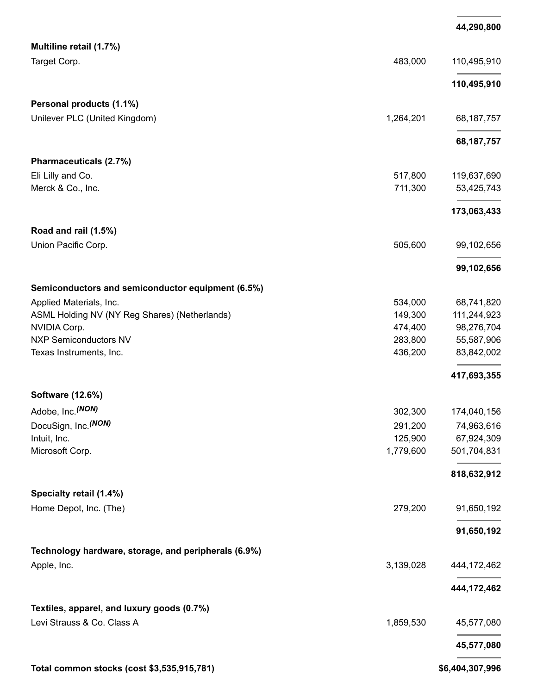|                                                      |           | 44,290,800    |
|------------------------------------------------------|-----------|---------------|
| Multiline retail (1.7%)                              |           |               |
| Target Corp.                                         | 483,000   | 110,495,910   |
|                                                      |           | 110,495,910   |
| Personal products (1.1%)                             |           |               |
| Unilever PLC (United Kingdom)                        | 1,264,201 | 68,187,757    |
|                                                      |           | 68, 187, 757  |
| Pharmaceuticals (2.7%)                               |           |               |
| Eli Lilly and Co.                                    | 517,800   | 119,637,690   |
| Merck & Co., Inc.                                    | 711,300   | 53,425,743    |
|                                                      |           | 173,063,433   |
| Road and rail (1.5%)                                 |           |               |
| Union Pacific Corp.                                  | 505,600   | 99,102,656    |
|                                                      |           | 99,102,656    |
| Semiconductors and semiconductor equipment (6.5%)    |           |               |
| Applied Materials, Inc.                              | 534,000   | 68,741,820    |
| ASML Holding NV (NY Reg Shares) (Netherlands)        | 149,300   | 111,244,923   |
| NVIDIA Corp.                                         | 474,400   | 98,276,704    |
| <b>NXP Semiconductors NV</b>                         | 283,800   | 55,587,906    |
| Texas Instruments, Inc.                              | 436,200   | 83,842,002    |
|                                                      |           | 417,693,355   |
| Software (12.6%)                                     |           |               |
| Adobe, Inc. (NON)                                    | 302,300   | 174,040,156   |
| DocuSign, Inc. (NON)                                 | 291,200   | 74,963,616    |
| Intuit, Inc.                                         | 125,900   | 67,924,309    |
| Microsoft Corp.                                      | 1,779,600 | 501,704,831   |
|                                                      |           | 818,632,912   |
| Specialty retail (1.4%)                              |           |               |
| Home Depot, Inc. (The)                               | 279,200   | 91,650,192    |
|                                                      |           | 91,650,192    |
| Technology hardware, storage, and peripherals (6.9%) |           |               |
| Apple, Inc.                                          | 3,139,028 | 444,172,462   |
|                                                      |           | 444, 172, 462 |
| Textiles, apparel, and luxury goods (0.7%)           |           |               |
| Levi Strauss & Co. Class A                           | 1,859,530 | 45,577,080    |
|                                                      |           | 45,577,080    |
|                                                      |           |               |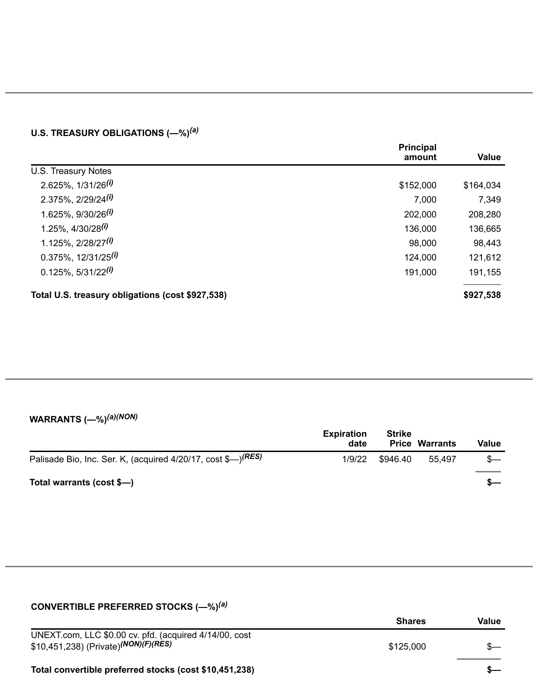#### **U.S. TREASURY OBLIGATIONS (—%)** *(a)*

|                                                  | <b>Principal</b><br>amount | <b>Value</b> |
|--------------------------------------------------|----------------------------|--------------|
| U.S. Treasury Notes                              |                            |              |
| $2.625\%$ , $1/31/26$ <sup>(i)</sup>             | \$152,000                  | \$164,034    |
| $2.375\%$ , $2/29/24$ <sup>(i)</sup>             | 7,000                      | 7,349        |
| 1.625%, 9/30/26 <sup>(i)</sup>                   | 202,000                    | 208,280      |
| $1.25\%$ , $4/30/28$ <sup>(i)</sup>              | 136,000                    | 136,665      |
| 1.125%, $2/28/27$ <sup>(i)</sup>                 | 98,000                     | 98,443       |
| $0.375\%$ , 12/31/25 <sup>(i)</sup>              | 124,000                    | 121,612      |
| $0.125\%$ , 5/31/22 <sup>(i)</sup>               | 191,000                    | 191,155      |
| Total U.S. treasury obligations (cost \$927,538) |                            | \$927,538    |

#### **WARRANTS (—%)** *(a)(NON)*

|                                                                          | <b>Expiration</b><br>date | <b>Strike</b> | <b>Price Warrants</b> | Value |
|--------------------------------------------------------------------------|---------------------------|---------------|-----------------------|-------|
| Palisade Bio, Inc. Ser. K, (acquired 4/20/17, cost \$-) <sup>(RES)</sup> | 1/9/22                    | \$946.40      | 55.497                | S—    |
| Total warrants (cost \$-)                                                |                           |               |                       |       |

| CONVERTIBLE PREFERRED STOCKS $(-\%)^{(a)}$             |               |       |
|--------------------------------------------------------|---------------|-------|
|                                                        | <b>Shares</b> | Value |
| UNEXT.com, LLC \$0.00 cv. pfd. (acquired 4/14/00, cost |               |       |
| \$10,451,238) (Private) <sup>(NON)</sup> (F)(RES)      | \$125,000     |       |

### **Total convertible preferred stocks (cost \$10,451,238) \$—**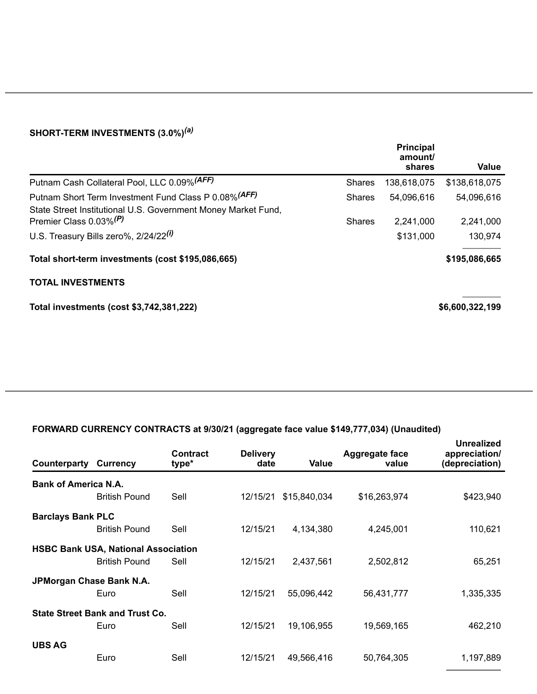#### **SHORT-TERM INVESTMENTS (3.0%)** *(a)*

|                                                                                                     |               | <b>Principal</b><br>amount/<br>shares | Value           |
|-----------------------------------------------------------------------------------------------------|---------------|---------------------------------------|-----------------|
| Putnam Cash Collateral Pool, LLC 0.09% (AFF)                                                        | <b>Shares</b> | 138,618,075                           | \$138,618,075   |
| Putnam Short Term Investment Fund Class P 0.08% (AFF)                                               | <b>Shares</b> | 54,096,616                            | 54,096,616      |
| State Street Institutional U.S. Government Money Market Fund,<br>Premier Class 0.03% <sup>(P)</sup> | <b>Shares</b> | 2,241,000                             | 2,241,000       |
| U.S. Treasury Bills zero%, 2/24/22 <sup>(i)</sup>                                                   |               | \$131,000                             | 130,974         |
| Total short-term investments (cost \$195,086,665)                                                   |               |                                       | \$195,086,665   |
| <b>TOTAL INVESTMENTS</b>                                                                            |               |                                       |                 |
| Total investments (cost \$3,742,381,222)                                                            |               |                                       | \$6,600,322,199 |

## **FORWARD CURRENCY CONTRACTS at 9/30/21 (aggregate face value \$149,777,034) (Unaudited)**

| Counterparty                | Currency                                   | <b>Contract</b><br>type* | <b>Delivery</b><br>date | Value        | <b>Aggregate face</b><br>value | <b>Unrealized</b><br>appreciation/<br>(depreciation) |
|-----------------------------|--------------------------------------------|--------------------------|-------------------------|--------------|--------------------------------|------------------------------------------------------|
| <b>Bank of America N.A.</b> |                                            |                          |                         |              |                                |                                                      |
|                             | <b>British Pound</b>                       | Sell                     | 12/15/21                | \$15,840,034 | \$16,263,974                   | \$423,940                                            |
| <b>Barclays Bank PLC</b>    |                                            |                          |                         |              |                                |                                                      |
|                             | <b>British Pound</b>                       | Sell                     | 12/15/21                | 4,134,380    | 4,245,001                      | 110,621                                              |
|                             | <b>HSBC Bank USA, National Association</b> |                          |                         |              |                                |                                                      |
|                             | <b>British Pound</b>                       | Sell                     | 12/15/21                | 2,437,561    | 2,502,812                      | 65,251                                               |
| JPMorgan Chase Bank N.A.    |                                            |                          |                         |              |                                |                                                      |
|                             | Euro                                       | Sell                     | 12/15/21                | 55,096,442   | 56,431,777                     | 1,335,335                                            |
|                             | <b>State Street Bank and Trust Co.</b>     |                          |                         |              |                                |                                                      |
|                             | Euro                                       | Sell                     | 12/15/21                | 19,106,955   | 19,569,165                     | 462,210                                              |
| <b>UBS AG</b>               |                                            |                          |                         |              |                                |                                                      |
|                             | Euro                                       | Sell                     | 12/15/21                | 49,566,416   | 50,764,305                     | 1,197,889                                            |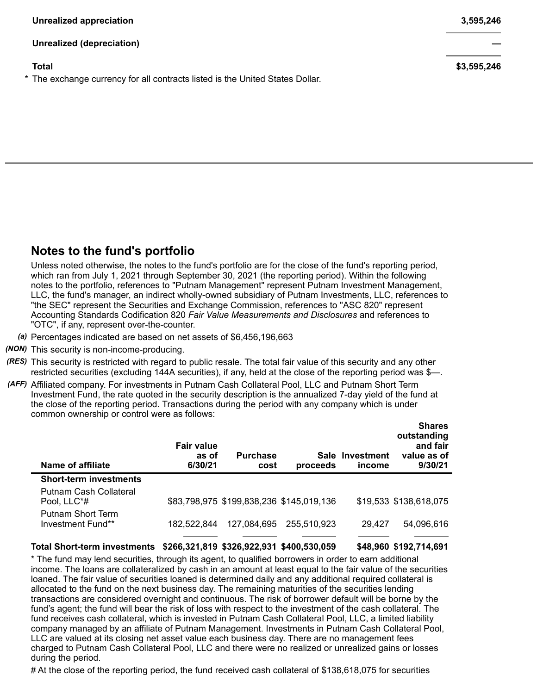The exchange currency for all contracts listed is the United States Dollar.

**Shares**

## **Notes to the fund's portfolio**

Unless noted otherwise, the notes to the fund's portfolio are for the close of the fund's reporting period, which ran from July 1, 2021 through September 30, 2021 (the reporting period). Within the following notes to the portfolio, references to "Putnam Management" represent Putnam Investment Management, LLC, the fund's manager, an indirect wholly-owned subsidiary of Putnam Investments, LLC, references to "the SEC" represent the Securities and Exchange Commission, references to "ASC 820" represent Accounting Standards Codification 820 *Fair Value Measurements and Disclosures* and references to "OTC", if any, represent over-the-counter.

- *(a)* Percentages indicated are based on net assets of \$6,456,196,663
- *(NON)* This security is non-income-producing.
- *(RES)* This security is restricted with regard to public resale. The total fair value of this security and any other restricted securities (excluding 144A securities), if any, held at the close of the reporting period was \$—.
- *(AFF)* Affiliated company. For investments in Putnam Cash Collateral Pool, LLC and Putnam Short Term Investment Fund, the rate quoted in the security description is the annualized 7-day yield of the fund at the close of the reporting period. Transactions during the period with any company which is under common ownership or control were as follows:

| Name of affiliate                      | <b>Fair value</b><br>as of<br>6/30/21 | <b>Purchase</b><br>cost | proceeds                                 | Sale Investment<br>income | 311 di US<br>outstanding<br>and fair<br>value as of<br>9/30/21 |
|----------------------------------------|---------------------------------------|-------------------------|------------------------------------------|---------------------------|----------------------------------------------------------------|
| <b>Short-term investments</b>          |                                       |                         |                                          |                           |                                                                |
| Putnam Cash Collateral<br>Pool, LLC*#  |                                       |                         | \$83,798,975 \$199,838,236 \$145,019,136 |                           | \$19,533 \$138,618,075                                         |
| Putnam Short Term<br>Investment Fund** | 182.522.844                           | 127,084,695             | 255.510.923                              | 29.427                    | 54,096,616                                                     |
|                                        |                                       |                         |                                          |                           |                                                                |

#### **Total Short-term investments \$266,321,819 \$326,922,931 \$400,530,059 \$48,960 \$192,714,691**

\* The fund may lend securities, through its agent, to qualified borrowers in order to earn additional income. The loans are collateralized by cash in an amount at least equal to the fair value of the securities loaned. The fair value of securities loaned is determined daily and any additional required collateral is allocated to the fund on the next business day. The remaining maturities of the securities lending transactions are considered overnight and continuous. The risk of borrower default will be borne by the fund's agent; the fund will bear the risk of loss with respect to the investment of the cash collateral. The fund receives cash collateral, which is invested in Putnam Cash Collateral Pool, LLC, a limited liability company managed by an affiliate of Putnam Management. Investments in Putnam Cash Collateral Pool, LLC are valued at its closing net asset value each business day. There are no management fees charged to Putnam Cash Collateral Pool, LLC and there were no realized or unrealized gains or losses during the period.

# At the close of the reporting period, the fund received cash collateral of \$138,618,075 for securities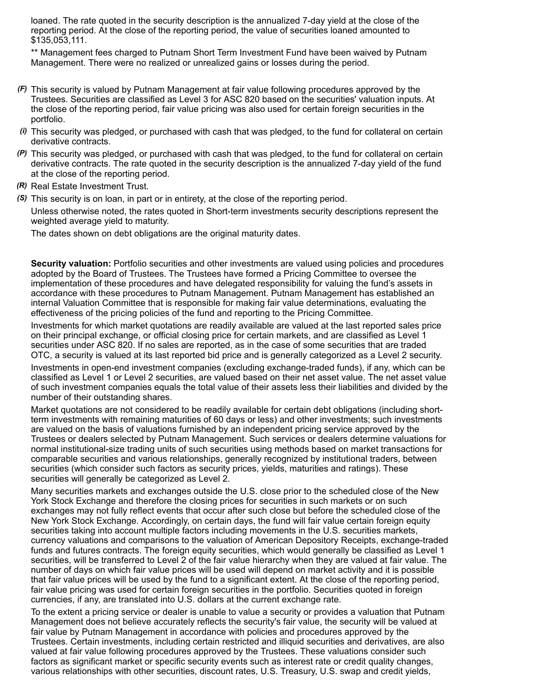loaned. The rate quoted in the security description is the annualized 7-day yield at the close of the reporting period. At the close of the reporting period, the value of securities loaned amounted to \$135,053,111.

\*\* Management fees charged to Putnam Short Term Investment Fund have been waived by Putnam Management. There were no realized or unrealized gains or losses during the period.

- *(F)* This security is valued by Putnam Management at fair value following procedures approved by the Trustees. Securities are classified as Level 3 for ASC 820 based on the securities' valuation inputs. At the close of the reporting period, fair value pricing was also used for certain foreign securities in the portfolio.
- *(i)* This security was pledged, or purchased with cash that was pledged, to the fund for collateral on certain derivative contracts.
- *(P)* This security was pledged, or purchased with cash that was pledged, to the fund for collateral on certain derivative contracts. The rate quoted in the security description is the annualized 7-day yield of the fund at the close of the reporting period.
- *(R)* Real Estate Investment Trust.

*(S)* This security is on loan, in part or in entirety, at the close of the reporting period. Unless otherwise noted, the rates quoted in Short-term investments security descriptions represent the weighted average yield to maturity.

The dates shown on debt obligations are the original maturity dates.

**Security valuation:** Portfolio securities and other investments are valued using policies and procedures adopted by the Board of Trustees. The Trustees have formed a Pricing Committee to oversee the implementation of these procedures and have delegated responsibility for valuing the fund's assets in accordance with these procedures to Putnam Management. Putnam Management has established an internal Valuation Committee that is responsible for making fair value determinations, evaluating the effectiveness of the pricing policies of the fund and reporting to the Pricing Committee.

Investments for which market quotations are readily available are valued at the last reported sales price on their principal exchange, or official closing price for certain markets, and are classified as Level 1 securities under ASC 820. If no sales are reported, as in the case of some securities that are traded OTC, a security is valued at its last reported bid price and is generally categorized as a Level 2 security.

Investments in open-end investment companies (excluding exchange-traded funds), if any, which can be classified as Level 1 or Level 2 securities, are valued based on their net asset value. The net asset value of such investment companies equals the total value of their assets less their liabilities and divided by the number of their outstanding shares.

Market quotations are not considered to be readily available for certain debt obligations (including shortterm investments with remaining maturities of 60 days or less) and other investments; such investments are valued on the basis of valuations furnished by an independent pricing service approved by the Trustees or dealers selected by Putnam Management. Such services or dealers determine valuations for normal institutional-size trading units of such securities using methods based on market transactions for comparable securities and various relationships, generally recognized by institutional traders, between securities (which consider such factors as security prices, yields, maturities and ratings). These securities will generally be categorized as Level 2.

Many securities markets and exchanges outside the U.S. close prior to the scheduled close of the New York Stock Exchange and therefore the closing prices for securities in such markets or on such exchanges may not fully reflect events that occur after such close but before the scheduled close of the New York Stock Exchange. Accordingly, on certain days, the fund will fair value certain foreign equity securities taking into account multiple factors including movements in the U.S. securities markets, currency valuations and comparisons to the valuation of American Depository Receipts, exchange-traded funds and futures contracts. The foreign equity securities, which would generally be classified as Level 1 securities, will be transferred to Level 2 of the fair value hierarchy when they are valued at fair value. The number of days on which fair value prices will be used will depend on market activity and it is possible that fair value prices will be used by the fund to a significant extent. At the close of the reporting period, fair value pricing was used for certain foreign securities in the portfolio. Securities quoted in foreign currencies, if any, are translated into U.S. dollars at the current exchange rate.

To the extent a pricing service or dealer is unable to value a security or provides a valuation that Putnam Management does not believe accurately reflects the security's fair value, the security will be valued at fair value by Putnam Management in accordance with policies and procedures approved by the Trustees. Certain investments, including certain restricted and illiquid securities and derivatives, are also valued at fair value following procedures approved by the Trustees. These valuations consider such factors as significant market or specific security events such as interest rate or credit quality changes, various relationships with other securities, discount rates, U.S. Treasury, U.S. swap and credit yields,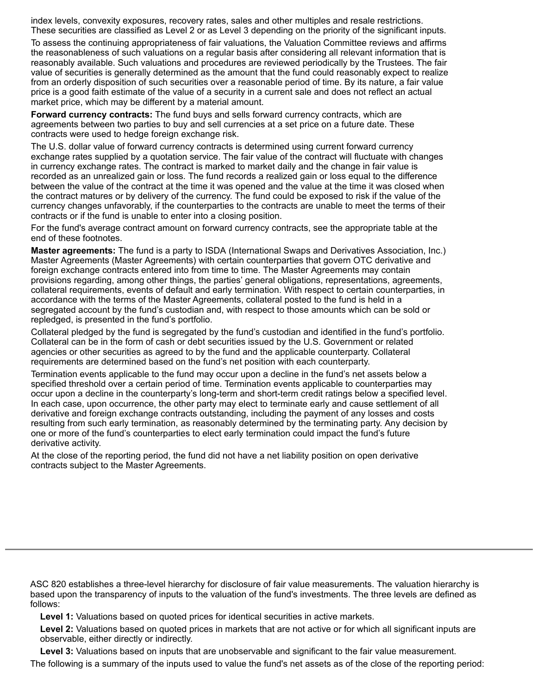index levels, convexity exposures, recovery rates, sales and other multiples and resale restrictions. These securities are classified as Level 2 or as Level 3 depending on the priority of the significant inputs.

To assess the continuing appropriateness of fair valuations, the Valuation Committee reviews and affirms the reasonableness of such valuations on a regular basis after considering all relevant information that is reasonably available. Such valuations and procedures are reviewed periodically by the Trustees. The fair value of securities is generally determined as the amount that the fund could reasonably expect to realize from an orderly disposition of such securities over a reasonable period of time. By its nature, a fair value price is a good faith estimate of the value of a security in a current sale and does not reflect an actual market price, which may be different by a material amount.

**Forward currency contracts:** The fund buys and sells forward currency contracts, which are agreements between two parties to buy and sell currencies at a set price on a future date. These contracts were used to hedge foreign exchange risk.

The U.S. dollar value of forward currency contracts is determined using current forward currency exchange rates supplied by a quotation service. The fair value of the contract will fluctuate with changes in currency exchange rates. The contract is marked to market daily and the change in fair value is recorded as an unrealized gain or loss. The fund records a realized gain or loss equal to the difference between the value of the contract at the time it was opened and the value at the time it was closed when the contract matures or by delivery of the currency. The fund could be exposed to risk if the value of the currency changes unfavorably, if the counterparties to the contracts are unable to meet the terms of their contracts or if the fund is unable to enter into a closing position.

For the fund's average contract amount on forward currency contracts, see the appropriate table at the end of these footnotes.

**Master agreements:** The fund is a party to ISDA (International Swaps and Derivatives Association, Inc.) Master Agreements (Master Agreements) with certain counterparties that govern OTC derivative and foreign exchange contracts entered into from time to time. The Master Agreements may contain provisions regarding, among other things, the parties' general obligations, representations, agreements, collateral requirements, events of default and early termination. With respect to certain counterparties, in accordance with the terms of the Master Agreements, collateral posted to the fund is held in a segregated account by the fund's custodian and, with respect to those amounts which can be sold or repledged, is presented in the fund's portfolio.

Collateral pledged by the fund is segregated by the fund's custodian and identified in the fund's portfolio. Collateral can be in the form of cash or debt securities issued by the U.S. Government or related agencies or other securities as agreed to by the fund and the applicable counterparty. Collateral requirements are determined based on the fund's net position with each counterparty.

Termination events applicable to the fund may occur upon a decline in the fund's net assets below a specified threshold over a certain period of time. Termination events applicable to counterparties may occur upon a decline in the counterparty's long-term and short-term credit ratings below a specified level. In each case, upon occurrence, the other party may elect to terminate early and cause settlement of all derivative and foreign exchange contracts outstanding, including the payment of any losses and costs resulting from such early termination, as reasonably determined by the terminating party. Any decision by one or more of the fund's counterparties to elect early termination could impact the fund's future derivative activity.

At the close of the reporting period, the fund did not have a net liability position on open derivative contracts subject to the Master Agreements.

ASC 820 establishes a three-level hierarchy for disclosure of fair value measurements. The valuation hierarchy is based upon the transparency of inputs to the valuation of the fund's investments. The three levels are defined as follows:

**Level 1:** Valuations based on quoted prices for identical securities in active markets.

**Level 2:** Valuations based on quoted prices in markets that are not active or for which all significant inputs are observable, either directly or indirectly.

**Level 3:** Valuations based on inputs that are unobservable and significant to the fair value measurement.

The following is a summary of the inputs used to value the fund's net assets as of the close of the reporting period: